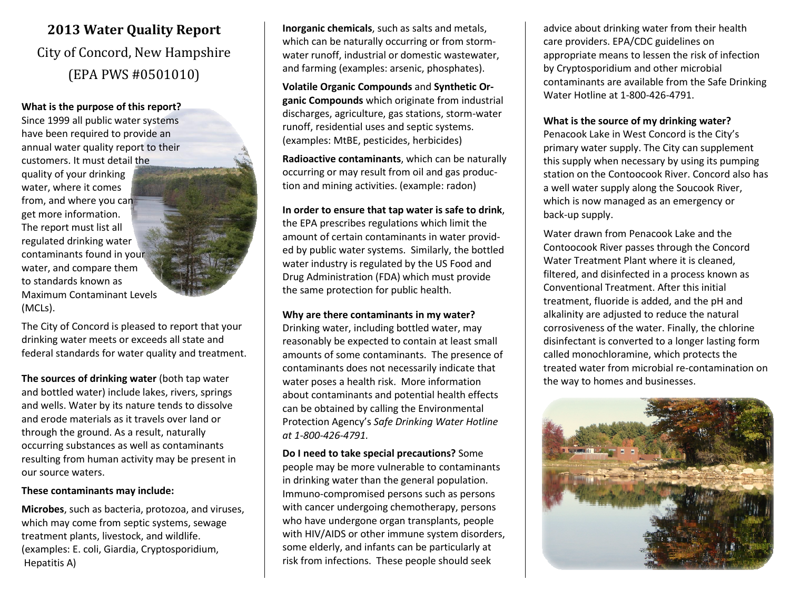## 2013 Water Quality Report City of Concord, New Hampshire(EPA PWS #0501010)

## What is the purpose of this report?

Since 1999 all public water systems have been required to provide an annual water quality report to their customers. It must detail the quality of your drinking water, where it comes from, and where you can get more information. The report must list all regulated drinking water contaminants found in your water, and compare them to standards known as Maximum Contaminant Levels (MCLs).

The City of Concord is pleased to report that your drinking water meets or exceeds all state and federal standards for water quality and treatment.

The sources of drinking water (both tap water and bottled water) include lakes, rivers, springs and wells. Water by its nature tends to dissolve and erode materials as it travels over land or through the ground. As a result, naturally occurring substances as well as contaminants resulting from human activity may be present in our source waters.

### These contaminants may include:

Microbes, such as bacteria, protozoa, and viruses, which may come from septic systems, sewage treatment plants, livestock, and wildlife. (examples: E. coli, Giardia, Cryptosporidium, Hepatitis A)

Inorganic chemicals, such as salts and metals, which can be naturally occurring or from stormwater runoff, industrial or domestic wastewater, and farming (examples: arsenic, phosphates).

Volatile Organic Compounds and Synthetic Organic Compounds which originate from industrial discharges, agriculture, gas stations, storm-water runoff, residential uses and septic systems. (examples: MtBE, pesticides, herbicides)

Radioactive contaminants, which can be naturally occurring or may result from oil and gas production and mining activities. (example: radon)

## In order to ensure that tap water is safe to drink, the EPA prescribes regulations which limit the amount of certain contaminants in water provided by public water systems. Similarly, the bottled water industry is regulated by the US Food and

Drug Administration (FDA) which must provide the same protection for public health.

## Why are there contaminants in my water?

Drinking water, including bottled water, may reasonably be expected to contain at least small amounts of some contaminants. The presence of contaminants does not necessarily indicate that water poses a health risk. More information about contaminants and potential health effects can be obtained by calling the Environmental Protection Agency's Safe Drinking Water Hotline at 1-800-426-4791.

Do I need to take special precautions? Some people may be more vulnerable to contaminants in drinking water than the general population. Immuno-compromised persons such as persons with cancer undergoing chemotherapy, persons who have undergone organ transplants, people with HIV/AIDS or other immune system disorders, some elderly, and infants can be particularly at risk from infections. These people should seek

advice about drinking water from their health care providers. EPA/CDC guidelines on appropriate means to lessen the risk of infection by Cryptosporidium and other microbial contaminants are available from the Safe Drinking Water Hotline at 1-800-426-4791.

## What is the source of my drinking water?

Penacook Lake in West Concord is the City's primary water supply. The City can supplement this supply when necessary by using its pumping station on the Contoocook River. Concord also has a well water supply along the Soucook River, which is now managed as an emergency or back-up supply.

Water drawn from Penacook Lake and the Contoocook River passes through the Concord Water Treatment Plant where it is cleaned, filtered, and disinfected in a process known as Conventional Treatment. After this initial treatment, fluoride is added, and the pH and alkalinity are adjusted to reduce the natural corrosiveness of the water. Finally, the chlorine disinfectant is converted to a longer lasting form called monochloramine, which protects the treated water from microbial re-contamination on the way to homes and businesses.

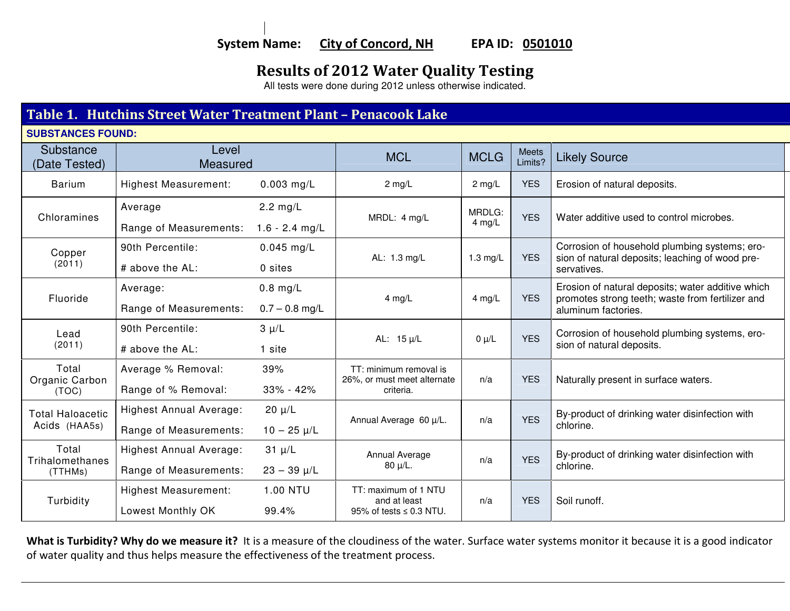# Results of 2012 Water Quality Testing All tests were done during 2012 unless otherwise indicated.

## Table 1. Hutchins Street Water Treatment Plant – Penacook Lake

**SUBSTANCES FOUND:** 

| Substance<br>(Date Tested)               | Level<br>Measured              |                    | <b>MCL</b>                                            | <b>MCLG</b>        | <b>Meets</b><br>Limits? | <b>Likely Source</b>                                                                                                         |
|------------------------------------------|--------------------------------|--------------------|-------------------------------------------------------|--------------------|-------------------------|------------------------------------------------------------------------------------------------------------------------------|
| <b>Barium</b>                            | <b>Highest Measurement:</b>    | $0.003$ mg/L       | $2 \text{ mg/L}$                                      | $2$ mg/L           | <b>YES</b>              | Erosion of natural deposits.                                                                                                 |
| Chloramines                              | Average                        | $2.2 \text{ mg/L}$ | MRDL: 4 mg/L                                          | MRDLG:<br>$4$ mg/L | <b>YES</b>              | Water additive used to control microbes.                                                                                     |
|                                          | Range of Measurements:         | $1.6 - 2.4$ mg/L   |                                                       |                    |                         |                                                                                                                              |
| Copper                                   | 90th Percentile:               | $0.045$ mg/L       | AL: 1.3 mg/L                                          | 1.3 $mg/L$         | <b>YES</b>              | Corrosion of household plumbing systems; ero-<br>sion of natural deposits; leaching of wood pre-                             |
| (2011)                                   | # above the AL:                | 0 sites            |                                                       |                    |                         | servatives.                                                                                                                  |
| Fluoride                                 | Average:                       | $0.8$ mg/L         | $4$ mg/L                                              | 4 mg/L             | <b>YES</b>              | Erosion of natural deposits; water additive which<br>promotes strong teeth; waste from fertilizer and<br>aluminum factories. |
|                                          | Range of Measurements:         | $0.7 - 0.8$ mg/L   |                                                       |                    |                         |                                                                                                                              |
| Lead                                     | 90th Percentile:               | $3 \mu/L$          | AL: $15 \mu/L$                                        | $0 \mu/L$          | <b>YES</b>              | Corrosion of household plumbing systems, ero-<br>sion of natural deposits.                                                   |
| (2011)                                   | # above the AL:                | 1 site             |                                                       |                    |                         |                                                                                                                              |
| Total<br>Organic Carbon                  | Average % Removal:             | 39%                | TT: minimum removal is<br>26%, or must meet alternate | n/a                | <b>YES</b>              | Naturally present in surface waters.                                                                                         |
| (TOC)                                    | Range of % Removal:            | $33\% - 42\%$      | criteria.                                             |                    |                         |                                                                                                                              |
| <b>Total Haloacetic</b><br>Acids (HAA5s) | <b>Highest Annual Average:</b> | $20 \mu/L$         | Annual Average 60 µ/L.                                | n/a                | <b>YES</b>              | By-product of drinking water disinfection with<br>chlorine.                                                                  |
|                                          | Range of Measurements:         | $10 - 25 \mu/L$    |                                                       |                    |                         |                                                                                                                              |
| Total<br>Trihalomethanes<br>(TTHMs)      | Highest Annual Average:        | $31 \mu/L$         | Annual Average                                        | n/a                | <b>YES</b>              | By-product of drinking water disinfection with<br>chlorine.                                                                  |
|                                          | Range of Measurements:         | $23 - 39 \mu/L$    | $80 \mu/L$ .                                          |                    |                         |                                                                                                                              |
| Turbidity                                | <b>Highest Measurement:</b>    | 1.00 NTU           | TT: maximum of 1 NTU<br>and at least                  | n/a                | <b>YES</b>              | Soil runoff.                                                                                                                 |
|                                          | Lowest Monthly OK              | 99.4%              | 95% of tests $\leq$ 0.3 NTU.                          |                    |                         |                                                                                                                              |

What is Turbidity? Why do we measure it? It is a measure of the cloudiness of the water. Surface water systems monitor it because it is a good indicator of water quality and thus helps measure the effectiveness of the treatment process.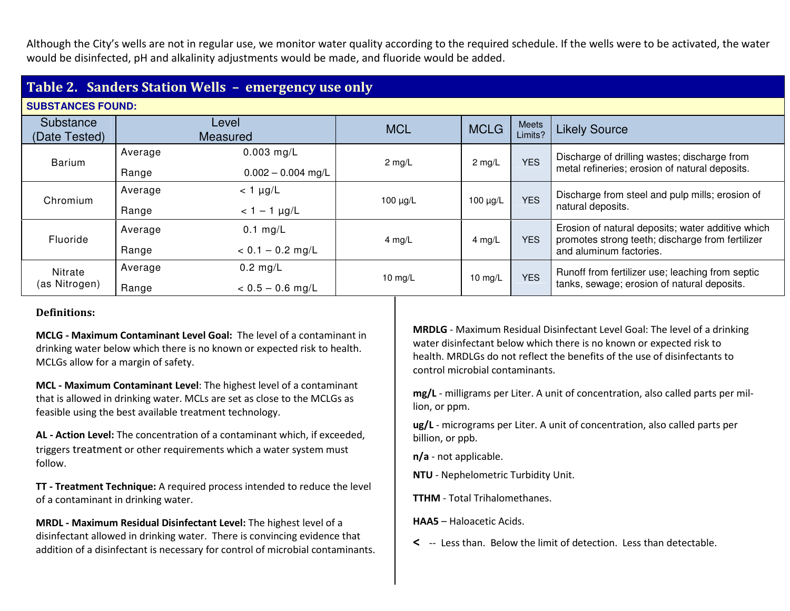Although the City's wells are not in regular use, we monitor water quality according to the required schedule. If the wells were to be activated, the water would be disinfected, pH and alkalinity adjustments would be made, and fluoride would be added.

## Table 2. Sanders Station Wells – emergency use only

| <b>SUBSTANCES FOUND:</b>   |                   |                                      |                  |               |                  |                                                                                                                                  |
|----------------------------|-------------------|--------------------------------------|------------------|---------------|------------------|----------------------------------------------------------------------------------------------------------------------------------|
| Substance<br>(Date Tested) | Level<br>Measured |                                      | <b>MCL</b>       | <b>MCLG</b>   | Meets<br>Limits? | <b>Likely Source</b>                                                                                                             |
| <b>Barium</b>              | Average<br>Range  | $0.003$ mg/L<br>$0.002 - 0.004$ mg/L | $2 \text{ mg/L}$ | $2$ mg/L      | <b>YES</b>       | Discharge of drilling wastes; discharge from<br>metal refineries; erosion of natural deposits.                                   |
| Chromium                   | Average<br>Range  | $<$ 1 $\mu$ g/L<br>$< 1 - 1$ µg/L    | 100 $\mu$ g/L    | 100 $\mu$ g/L | <b>YES</b>       | Discharge from steel and pulp mills; erosion of<br>natural deposits.                                                             |
| Fluoride                   | Average<br>Range  | $0.1$ mg/L<br>$< 0.1 - 0.2$ mg/L     | 4 mg/L           | 4 mg/L        | <b>YES</b>       | Erosion of natural deposits; water additive which<br>promotes strong teeth; discharge from fertilizer<br>and aluminum factories. |
| Nitrate<br>(as Nitrogen)   | Average<br>Range  | $0.2$ mg/L<br>$< 0.5 - 0.6$ mg/L     | 10 $mg/L$        | 10 mg/L       | <b>YES</b>       | Runoff from fertilizer use; leaching from septic<br>tanks, sewage; erosion of natural deposits.                                  |

## Definitions:

MCLG - Maximum Contaminant Level Goal: The level of a contaminant in drinking water below which there is no known or expected risk to health. MCLGs allow for a margin of safety.

MCL - Maximum Contaminant Level: The highest level of a contaminant that is allowed in drinking water. MCLs are set as close to the MCLGs as feasible using the best available treatment technology.

AL - Action Level: The concentration of a contaminant which, if exceeded, triggers treatment or other requirements which a water system must follow.

TT - Treatment Technique: A required process intended to reduce the level of a contaminant in drinking water.

MRDL - Maximum Residual Disinfectant Level: The highest level of a disinfectant allowed in drinking water. There is convincing evidence that addition of a disinfectant is necessary for control of microbial contaminants. MRDLG - Maximum Residual Disinfectant Level Goal: The level of a drinking water disinfectant below which there is no known or expected risk to health. MRDLGs do not reflect the benefits of the use of disinfectants to control microbial contaminants.

mg/L - milligrams per Liter. A unit of concentration, also called parts per million, or ppm.

ug/L - micrograms per Liter. A unit of concentration, also called parts per billion, or ppb.

n/a - not applicable.

NTU - Nephelometric Turbidity Unit.

TTHM - Total Trihalomethanes.

HAA5 – Haloacetic Acids.

< -- Less than. Below the limit of detection. Less than detectable.